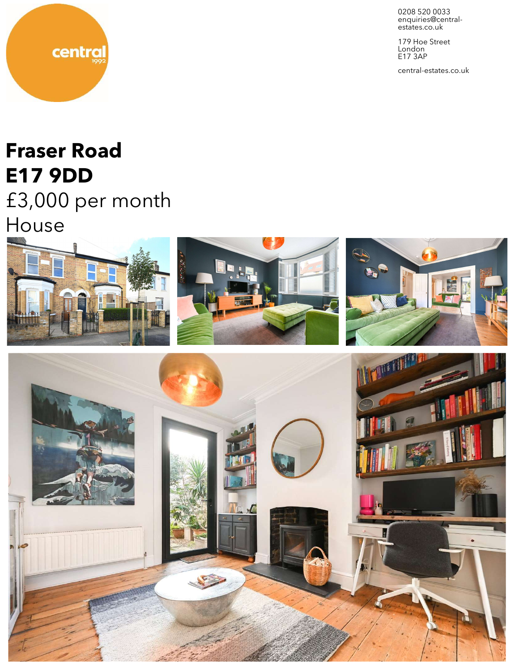

179 Hoe Street London E17 3AP

central-estates.co.uk

# **Fraser Road E17 9DD**

central

£3,000 per month

House